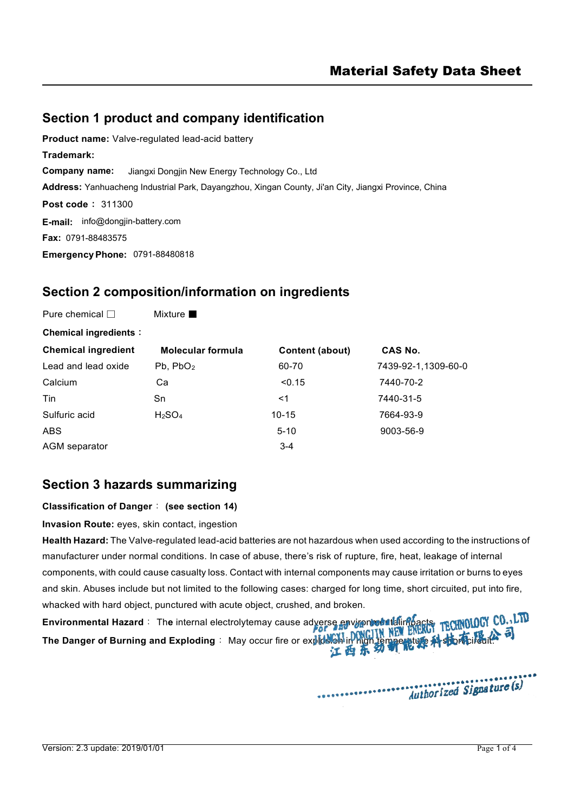# **Section 1 product and company identification**

**Product name:** Valve-regulated lead-acid battery **Trademark: Company name:** Jiangxi Dongjin New Energy Technology Co., Ltd **Address:** Yanhuacheng Industrial Park, Dayangzhou, Xingan County, Ji'an City, Jiangxi Province, China **Post code**: 311300 **E-mail:** [info@dongjin-battery.com](mailto:info@dongjin-battery.com) **Fax:** 0791-88483575 **EmergencyPhone:** 0791-88480818

# **Section 2 composition/information on ingredients**

| Pure chemical $\Box$         | Mixture $\blacksquare$         |                 |                     |
|------------------------------|--------------------------------|-----------------|---------------------|
| <b>Chemical ingredients:</b> |                                |                 |                     |
| <b>Chemical ingredient</b>   | <b>Molecular formula</b>       | Content (about) | CAS No.             |
| Lead and lead oxide          | Pb, PbO <sub>2</sub>           | 60-70           | 7439-92-1,1309-60-0 |
| Calcium                      | Ca                             | < 0.15          | 7440-70-2           |
| Tin                          | Sn                             | <1              | 7440-31-5           |
| Sulfuric acid                | H <sub>2</sub> SO <sub>4</sub> | $10 - 15$       | 7664-93-9           |
| <b>ABS</b>                   |                                | $5 - 10$        | 9003-56-9           |
| AGM separator                |                                | $3 - 4$         |                     |

# **Section 3 hazards summarizing**

**Classification of Danger**: **(see section 14)**

**Invasion Route:** eyes, skin contact, ingestion

**Health Hazard:** The Valve-regulated lead-acid batteries are not hazardous when used according to the instructions of manufacturer under normal conditions. In case of abuse, there's risk of rupture, fire, heat, leakage of internal components, with could cause casualty loss. Contact with internal components may cause irritation or burns to eyes and skin. Abuses include but not limited to the following cases: charged for long time, short circuited, put into fire, whacked with hard object, punctured with acute object, crushed, and broken.

**Environmental Hazard**: The internal electrolytemay cause adverse environtal fallimpacts manual CU. Li **The Danger of Burning and Exploding : May occur fire or explosion in high temperature**  $\mathcal{N}$  **short circuit.** 

............

Authorized Signature (s)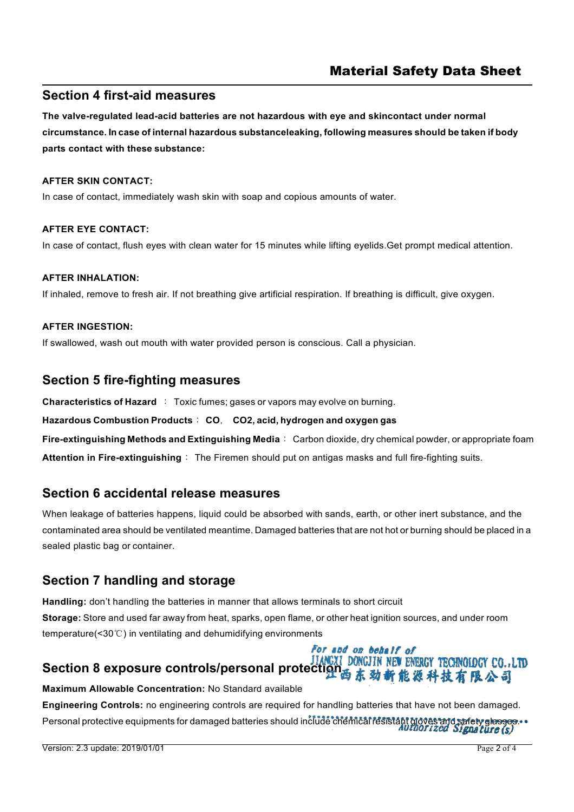## **Section 4 first-aid measures**

**The valve-regulated lead-acid batteries are not hazardous with eye and skincontact under normal circumstance. In case of internal hazardous substanceleaking, following measures should be taken ifbody parts contact with these substance:**

## **AFTER SKIN CONTACT:**

In case of contact, immediately wash skin with soap and copious amounts of water.

## **AFTER EYE CONTACT:**

In case of contact, flush eyes with clean water for 15 minutes while lifting eyelids.Get prompt medical attention.

### **AFTER INHALATION:**

If inhaled, remove to fresh air. If not breathing give artificial respiration. If breathing is difficult, give oxygen.

## **AFTER INGESTION:**

If swallowed, wash out mouth with water provided person is conscious. Call a physician.

# **Section 5 fire-fighting measures**

**Characteristics of Hazard** : Toxic fumes; gases or vapors may evolve on burning.

### **Hazardous Combustion Products**: **CO**, **CO2, acid, hydrogen and oxygen gas**

**Fire-extinguishing Methods and Extinguishing Media**: Carbon dioxide, dry chemical powder, or appropriate foam **Attention in Fire-extinguishing**: The Firemen should put on antigas masks and full fire-fighting suits.

## **Section 6 accidental release measures**

When leakage of batteries happens, liquid could be absorbed with sands, earth, or other inert substance, and the contaminated area should be ventilated meantime. Damaged batteries that are not hot or burning should be placed in a sealed plastic bag or container.

# **Section 7 handling and storage**

**Handling:** don't handling the batteries in manner that allows terminals to short circuit **Storage:** Store and used far away from heat, sparks, open flame, orother heat ignition sources, and under room temperature(<30℃) in ventilating and dehumidifying environments

# **Section 8 exposure controls/personal protection & state of TECHNOLOGY CO.,LTD**<br>Section 8 exposure controls/personal protection 西东劲新能源科技有限公司

**Maximum Allowable Concentration:** No Standard available

**Engineering Controls:** no engineering controls are required for handling batteries that have not been damaged.

For and on behalf of

Personal protective equipments for damaged batteries should include chemical resistant gloves and safety glasses...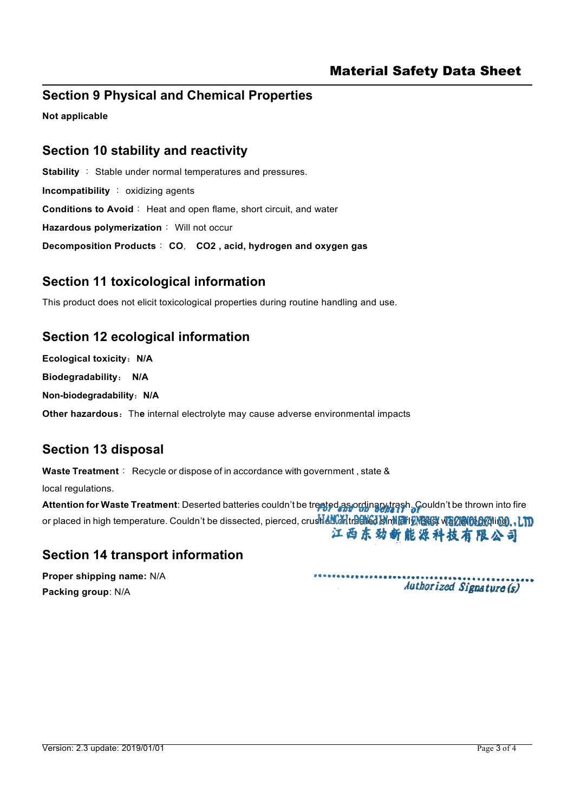# **Section 9 Physical and Chemical Properties**

**Not applicable**

## **Section 10 stability and reactivity**

**Stability** : Stable under normal temperatures and pressures. **Incompatibility** : oxidizing agents **Conditions to Avoid**: Heat and open flame, short circuit, and water **Hazardous polymerization**: Will not occur **Decomposition Products**: **CO**, **CO2 , acid, hydrogen and oxygen gas**

# **Section 11 toxicological information**

This product does not elicit toxicological properties during routine handling and use.

# **Section 12 ecological information**

**Ecological toxicity**:**N/A**

**Biodegradability**: **N/A**

**Non-biodegradability**:**N/A**

**Other hazardous:** The internal electrolyte may cause adverse environmental impacts

# **Section 13 disposal**

**Waste Treatment**: Recycle or dispose of in accordance with government , state & local regulations.

**Attention for Waste Treatment**: Deserted batteries couldn't be treated as ordinary trash. Couldn't be thrown into fire or placed in high temperature. Couldn't be dissected, pierced, crushed or treated is militimeted weapon of the 江西东劲新能源科技有限公司

# **Section 14 transport information**

**Proper shipping name:** N/A **Packing group**: N/A

......... Authorized Signature (s)